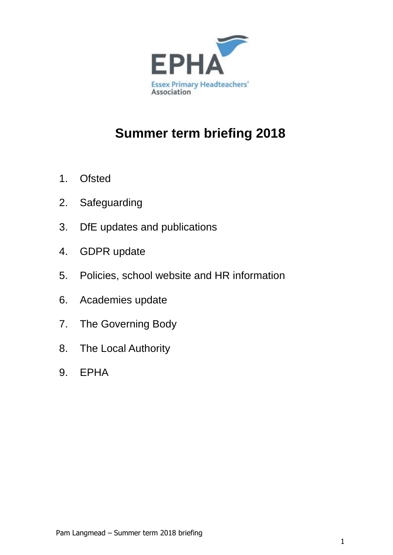

# **Summer term briefing 2018**

- 1. Ofsted
- 2. Safeguarding
- 3. DfE updates and publications
- 4. GDPR update
- 5. Policies, school website and HR information
- 6. Academies update
- 7. The Governing Body
- 8. The Local Authority
- 9. EPHA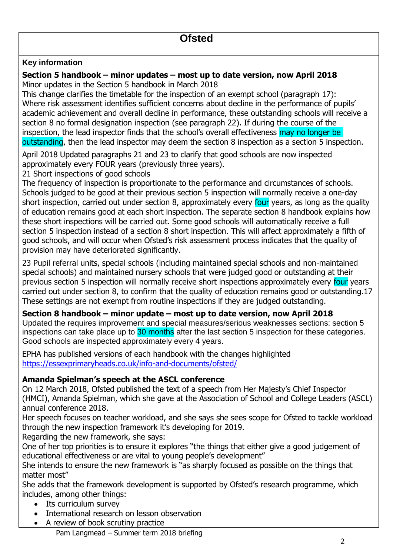# **Key information**

#### **Section 5 handbook – minor updates – most up to date version, now April 2018** Minor updates in the Section 5 handbook in March 2018

This change clarifies the timetable for the inspection of an exempt school (paragraph 17): Where risk assessment identifies sufficient concerns about decline in the performance of pupils' academic achievement and overall decline in performance, these outstanding schools will receive a section 8 no formal designation inspection (see paragraph 22). If during the course of the inspection, the lead inspector finds that the school's overall effectiveness may no longer be outstanding, then the lead inspector may deem the section 8 inspection as a section 5 inspection.

April 2018 Updated paragraphs 21 and 23 to clarify that good schools are now inspected approximately every FOUR years (previously three years).

21 Short inspections of good schools

The frequency of inspection is proportionate to the performance and circumstances of schools. Schools judged to be good at their previous section 5 inspection will normally receive a one-day short inspection, carried out under section 8, approximately every four years, as long as the quality of education remains good at each short inspection. The separate section 8 handbook explains how these short inspections will be carried out. Some good schools will automatically receive a full section 5 inspection instead of a section 8 short inspection. This will affect approximately a fifth of good schools, and will occur when Ofsted's risk assessment process indicates that the quality of provision may have deteriorated significantly.

23 Pupil referral units, special schools (including maintained special schools and non-maintained special schools) and maintained nursery schools that were judged good or outstanding at their previous section 5 inspection will normally receive short inspections approximately every four years carried out under section 8, to confirm that the quality of education remains good or outstanding.17 These settings are not exempt from routine inspections if they are judged outstanding.

**Section 8 handbook – minor update – most up to date version, now April 2018** Updated the requires improvement and special measures/serious weaknesses sections: section 5 inspections can take place up to 30 months after the last section 5 inspection for these categories. Good schools are inspected approximately every 4 years.

EPHA has published versions of each handbook with the changes highlighted <https://essexprimaryheads.co.uk/info-and-documents/ofsted/>

# **Amanda Spielman's speech at the ASCL conference**

On 12 March 2018, Ofsted published the text of a speech from Her Majesty's Chief Inspector (HMCI), Amanda Spielman, which she gave at the Association of School and College Leaders (ASCL) annual conference 2018.

Her speech focuses on teacher workload, and she says she sees scope for Ofsted to tackle workload through the new inspection framework it's developing for 2019.

Regarding the new framework, she says:

One of her top priorities is to ensure it explores "the things that either give a good judgement of educational effectiveness or are vital to young people's development"

She intends to ensure the new framework is "as sharply focused as possible on the things that matter most"

She adds that the framework development is supported by Ofsted's research programme, which includes, among other things:

- Its curriculum survey
- International research on lesson observation
- A review of book scrutiny practice

Pam Langmead – Summer term 2018 briefing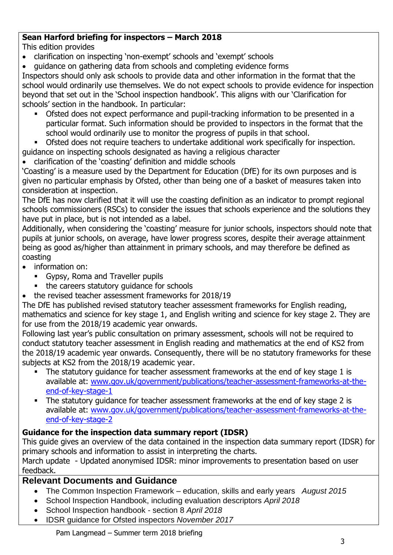# **Sean Harford briefing for inspectors – March 2018**

This edition provides

- clarification on inspecting 'non-exempt' schools and 'exempt' schools
- guidance on gathering data from schools and completing evidence forms

Inspectors should only ask schools to provide data and other information in the format that the school would ordinarily use themselves. We do not expect schools to provide evidence for inspection beyond that set out in the 'School inspection handbook'. This aligns with our 'Clarification for schools' section in the handbook. In particular:

- Ofsted does not expect performance and pupil-tracking information to be presented in a particular format. Such information should be provided to inspectors in the format that the school would ordinarily use to monitor the progress of pupils in that school.
- Ofsted does not require teachers to undertake additional work specifically for inspection. guidance on inspecting schools designated as having a religious character
- clarification of the 'coasting' definition and middle schools

'Coasting' is a measure used by the Department for Education (DfE) for its own purposes and is given no particular emphasis by Ofsted, other than being one of a basket of measures taken into consideration at inspection.

The DfE has now clarified that it will use the coasting definition as an indicator to prompt regional schools commissioners (RSCs) to consider the issues that schools experience and the solutions they have put in place, but is not intended as a label.

Additionally, when considering the 'coasting' measure for junior schools, inspectors should note that pupils at junior schools, on average, have lower progress scores, despite their average attainment being as good as/higher than attainment in primary schools, and may therefore be defined as coasting

- information on:
	- Gypsy, Roma and Traveller pupils
	- the careers statutory guidance for schools
- the revised teacher assessment frameworks for 2018/19

The DfE has published revised statutory teacher assessment frameworks for English reading, mathematics and science for key stage 1, and English writing and science for key stage 2. They are for use from the 2018/19 academic year onwards.

Following last year's public consultation on primary assessment, schools will not be required to conduct statutory teacher assessment in English reading and mathematics at the end of KS2 from the 2018/19 academic year onwards. Consequently, there will be no statutory frameworks for these subjects at KS2 from the 2018/19 academic year.

- The statutory guidance for teacher assessment frameworks at the end of key stage 1 is available at: [www.gov.uk/government/publications/teacher-assessment-frameworks-at-the](http://www.gov.uk/government/publications/teacher-assessment-frameworks-at-the-end-of-key-stage-1)[end-of-key-stage-1](http://www.gov.uk/government/publications/teacher-assessment-frameworks-at-the-end-of-key-stage-1)
- The statutory guidance for teacher assessment frameworks at the end of key stage 2 is available at: [www.gov.uk/government/publications/teacher-assessment-frameworks-at-the](http://www.gov.uk/government/publications/teacher-assessment-frameworks-at-the-end-of-key-stage-2)[end-of-key-stage-2](http://www.gov.uk/government/publications/teacher-assessment-frameworks-at-the-end-of-key-stage-2)

# **Guidance for the inspection data summary report (IDSR)**

This guide gives an overview of the data contained in the inspection data summary report (IDSR) for primary schools and information to assist in interpreting the charts.

March update - Updated anonymised IDSR: minor improvements to presentation based on user feedback.

# **Relevant Documents and Guidance**

- The Common Inspection Framework education, skills and early years *August 2015*
- School Inspection Handbook, including evaluation descriptors *April 2018*
- School Inspection handbook section 8 *April 2018*
- IDSR guidance for Ofsted inspectors *November 2017*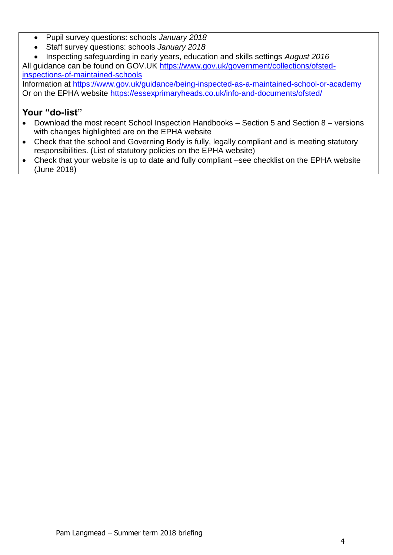- Pupil survey questions: schools *January 2018*
- Staff survey questions: schools *January 2018*
- Inspecting safeguarding in early years, education and skills settings *August 2016* All guidance can be found on GOV.UK [https://www.gov.uk/government/collections/ofsted](https://www.gov.uk/government/collections/ofsted-inspections-of-maintained-schools)[inspections-of-maintained-schools](https://www.gov.uk/government/collections/ofsted-inspections-of-maintained-schools)

Information at<https://www.gov.uk/guidance/being-inspected-as-a-maintained-school-or-academy> Or on the EPHA website<https://essexprimaryheads.co.uk/info-and-documents/ofsted/>

- Download the most recent School Inspection Handbooks Section 5 and Section 8 versions with changes highlighted are on the EPHA website
- Check that the school and Governing Body is fully, legally compliant and is meeting statutory responsibilities. (List of statutory policies on the EPHA website)
- Check that your website is up to date and fully compliant –see checklist on the EPHA website (June 2018)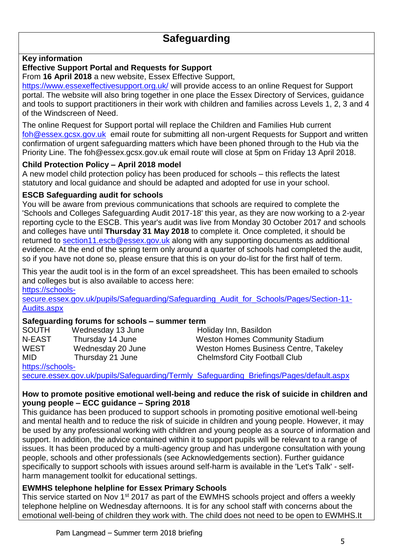## **Key information**

### **Effective Support Portal and Requests for Support**

From **16 April 2018** a new website, Essex Effective Support,

<https://www.essexeffectivesupport.org.uk/> will provide access to an online Request for Support portal. The website will also bring together in one place the Essex Directory of Services, guidance and tools to support practitioners in their work with children and families across Levels 1, 2, 3 and 4 of the Windscreen of Need.

The online Request for Support portal will replace the Children and Families Hub current [foh@essex.gcsx.gov.uk](mailto:foh@essex.gcsx.gov.uk) email route for submitting all non-urgent Requests for Support and written confirmation of urgent safeguarding matters which have been phoned through to the Hub via the Priority Line. The foh@essex.gcsx.gov.uk email route will close at 5pm on Friday 13 April 2018.

## **Child Protection Policy – April 2018 model**

A new model child protection policy has been produced for schools – this reflects the latest statutory and local guidance and should be adapted and adopted for use in your school.

#### **ESCB Safeguarding audit for schools**

You will be aware from previous communications that schools are required to complete the 'Schools and Colleges Safeguarding Audit 2017-18' this year, as they are now working to a 2-year reporting cycle to the ESCB. This year's audit was live from Monday 30 October 2017 and schools and colleges have until **Thursday 31 May 2018** to complete it. Once completed, it should be returned to [section11.escb@essex.gov.uk](mailto:section11.escb@essex.gov.uk) along with any supporting documents as additional evidence. At the end of the spring term only around a quarter of schools had completed the audit, so if you have not done so, please ensure that this is on your do-list for the first half of term.

This year the audit tool is in the form of an excel spreadsheet. This has been emailed to schools and colleges but is also available to access here:

[https://schools-](https://schools-secure.essex.gov.uk/pupils/Safeguarding/Safeguarding_Audit_for_Schools/Pages/Section-11-Audits.aspx)

secure.essex.gov.uk/pupils/Safeguarding/Safeguarding Audit for Schools/Pages/Section-11-[Audits.aspx](https://schools-secure.essex.gov.uk/pupils/Safeguarding/Safeguarding_Audit_for_Schools/Pages/Section-11-Audits.aspx)

#### **Safeguarding forums for schools – summer term** Holiday Inn, Basildon

| Wednesday 13 June |
|-------------------|
| Thursday 14 June  |
| Wednesday 20 June |
| Thursday 21 June  |
|                   |

Weston Homes Business Centre, Takeley Chelmsford City Football Club

Weston Homes Community Stadium

[https://schools-](https://schools-secure.essex.gov.uk/pupils/Safeguarding/Termly_Safeguarding_Briefings/Pages/default.aspx)

[secure.essex.gov.uk/pupils/Safeguarding/Termly\\_Safeguarding\\_Briefings/Pages/default.aspx](https://schools-secure.essex.gov.uk/pupils/Safeguarding/Termly_Safeguarding_Briefings/Pages/default.aspx)

#### **How to promote positive emotional well-being and reduce the risk of suicide in children and young people – ECC guidance – Spring 2018**

This guidance has been produced to support schools in promoting positive emotional well-being and mental health and to reduce the risk of suicide in children and young people. However, it may be used by any professional working with children and young people as a source of information and support. In addition, the advice contained within it to support pupils will be relevant to a range of issues. It has been produced by a multi-agency group and has undergone consultation with young people, schools and other professionals (see Acknowledgements section). Further guidance specifically to support schools with issues around self-harm is available in the 'Let's Talk' - selfharm management toolkit for educational settings.

#### **EWMHS telephone helpline for Essex Primary Schools**

This service started on Nov 1<sup>st</sup> 2017 as part of the EWMHS schools project and offers a weekly telephone helpline on Wednesday afternoons. It is for any school staff with concerns about the emotional well-being of children they work with. The child does not need to be open to EWMHS.It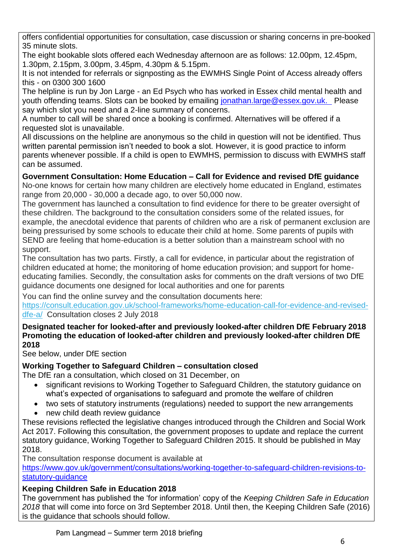offers confidential opportunities for consultation, case discussion or sharing concerns in pre-booked 35 minute slots.

The eight bookable slots offered each Wednesday afternoon are as follows: 12.00pm, 12.45pm, 1.30pm, 2.15pm, 3.00pm, 3.45pm, 4.30pm & 5.15pm.

It is not intended for referrals or signposting as the EWMHS Single Point of Access already offers this - on 0300 300 1600

The helpline is run by Jon Large - an Ed Psych who has worked in Essex child mental health and youth offending teams. Slots can be booked by emailing [jonathan.large@essex.gov.uk.](mailto:jonathan.large@essex.gov.uk) Please say which slot you need and a 2-line summary of concerns.

A number to call will be shared once a booking is confirmed. Alternatives will be offered if a requested slot is unavailable.

All discussions on the helpline are anonymous so the child in question will not be identified. Thus written parental permission isn't needed to book a slot. However, it is good practice to inform parents whenever possible. If a child is open to EWMHS, permission to discuss with EWMHS staff can be assumed.

# **Government Consultation: Home Education – Call for Evidence and revised DfE guidance**

No-one knows for certain how many children are electively home educated in England, estimates range from 20,000 - 30,000 a decade ago, to over 50,000 now.

The government has launched a consultation to find evidence for there to be greater oversight of these children. The background to the consultation considers some of the related issues, for example, the anecdotal evidence that parents of children who are a risk of permanent exclusion are being pressurised by some schools to educate their child at home. Some parents of pupils with SEND are feeling that home-education is a better solution than a mainstream school with no support.

The consultation has two parts. Firstly, a call for evidence, in particular about the registration of children educated at home; the monitoring of home education provision; and support for homeeducating families. Secondly, the consultation asks for comments on the draft versions of two DfE guidance documents one designed for local authorities and one for parents

You can find the online survey and the consultation documents here:

[https://consult.education.gov.uk/school-frameworks/home-education-call-for-evidence-and-revised](https://safeguardinginschools.us12.list-manage.com/track/click?u=efe032677d94ceba51dd39a7f&id=6ec5d123aa&e=6534e1f39c)[dfe-a/](https://safeguardinginschools.us12.list-manage.com/track/click?u=efe032677d94ceba51dd39a7f&id=6ec5d123aa&e=6534e1f39c) Consultation closes 2 July 2018

**Designated teacher for looked-after and previously looked-after children DfE February 2018 Promoting the education of looked-after children and previously looked-after children DfE 2018**

See below, under DfE section

# **Working Together to Safeguard Children – consultation closed**

The DfE ran a consultation, which closed on 31 December, on

- significant revisions to Working Together to Safeguard Children, the statutory guidance on what's expected of organisations to safeguard and promote the welfare of children
- two sets of statutory instruments (regulations) needed to support the new arrangements
- new child death review guidance

These revisions reflected the legislative changes introduced through the Children and Social Work Act 2017. Following this consultation, the government proposes to update and replace the current statutory guidance, Working Together to Safeguard Children 2015. It should be published in May 2018.

The consultation response document is available at

[https://www.gov.uk/government/consultations/working-together-to-safeguard-children-revisions-to](https://www.gov.uk/government/consultations/working-together-to-safeguard-children-revisions-to-statutory-guidance)statutory-quidance

# **Keeping Children Safe in Education 2018**

The government has published the 'for information' copy of the *Keeping Children Safe in Education 2018* that will come into force on 3rd September 2018. Until then, the Keeping Children Safe (2016) is the guidance that schools should follow.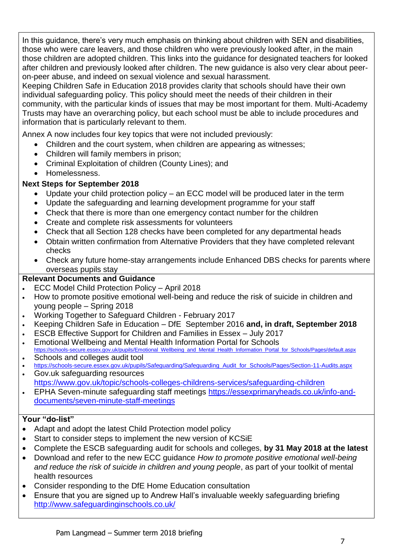In this guidance, there's very much emphasis on thinking about children with SEN and disabilities, those who were care leavers, and those children who were previously looked after, in the main those children are adopted children. This links into the guidance for designated teachers for looked after children and previously looked after children. The new guidance is also very clear about peeron-peer abuse, and indeed on sexual violence and sexual harassment.

Keeping Children Safe in Education 2018 provides clarity that schools should have their own individual safeguarding policy. This policy should meet the needs of their children in their community, with the particular kinds of issues that may be most important for them. Multi-Academy Trusts may have an overarching policy, but each school must be able to include procedures and information that is particularly relevant to them.

Annex A now includes four key topics that were not included previously:

- Children and the court system, when children are appearing as witnesses:
- Children will family members in prison;
- Criminal Exploitation of children (County Lines); and
- Homelessness.

# **Next Steps for September 2018**

- Update your child protection policy an ECC model will be produced later in the term
- Update the safeguarding and learning development programme for your staff
- Check that there is more than one emergency contact number for the children
- Create and complete risk assessments for volunteers
- Check that all Section 128 checks have been completed for any departmental heads
- Obtain written confirmation from Alternative Providers that they have completed relevant checks
- Check any future home-stay arrangements include Enhanced DBS checks for parents where overseas pupils stay

# **Relevant Documents and Guidance**

- ECC Model Child Protection Policy April 2018
- How to promote positive emotional well-being and reduce the risk of suicide in children and young people – Spring 2018
- Working Together to Safeguard Children February 2017
- Keeping Children Safe in Education DfE September 2016 **and, in draft, September 2018**
- ESCB Effective Support for Children and Families in Essex July 2017
- Emotional Wellbeing and Mental Health Information Portal for Schools
- [https://schools-secure.essex.gov.uk/pupils/Emotional\\_Wellbeing\\_and\\_Mental\\_Health\\_Information\\_Portal\\_for\\_Schools/Pages/default.aspx](https://schools-secure.essex.gov.uk/pupils/Emotional_Wellbeing_and_Mental_Health_Information_Portal_for_Schools/Pages/default.aspx) Schools and colleges audit tool
- [https://schools-secure.essex.gov.uk/pupils/Safeguarding/Safeguarding\\_Audit\\_for\\_Schools/Pages/Section-11-Audits.aspx](https://schools-secure.essex.gov.uk/pupils/Safeguarding/Safeguarding_Audit_for_Schools/Pages/Section-11-Audits.aspx)
- Gov.uk safeguarding resources <https://www.gov.uk/topic/schools-colleges-childrens-services/safeguarding-children>
- EPHA Seven-minute safeguarding staff meetings [https://essexprimaryheads.co.uk/info-and](https://essexprimaryheads.co.uk/info-and-documents/seven-minute-staff-meetings)[documents/seven-minute-staff-meetings](https://essexprimaryheads.co.uk/info-and-documents/seven-minute-staff-meetings)

- Adapt and adopt the latest Child Protection model policy
- Start to consider steps to implement the new version of KCSiE
- Complete the ESCB safeguarding audit for schools and colleges, **by 31 May 2018 at the latest**
- Download and refer to the new ECC guidance *How to promote positive emotional well-being and reduce the risk of suicide in children and young people*, as part of your toolkit of mental health resources
- Consider responding to the DfE Home Education consultation
- Ensure that you are signed up to Andrew Hall's invaluable weekly safeguarding briefing <http://www.safeguardinginschools.co.uk/>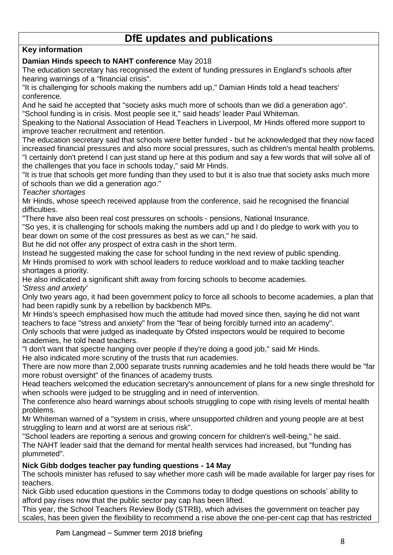# **DfE updates and publications**

# **Key information**

## **Damian Hinds speech to NAHT conference** May 2018

The education secretary has recognised the extent of funding pressures in England's schools after hearing warnings of a "financial crisis".

"It is challenging for schools making the numbers add up," Damian Hinds told a head teachers' conference.

And he said he accepted that "society asks much more of schools than we did a generation ago". "School funding is in crisis. Most people see it," said heads' leader Paul Whiteman.

Speaking to the National Association of Head Teachers in Liverpool, Mr Hinds offered more support to improve teacher recruitment and retention.

The education secretary said that schools were better funded - but he acknowledged that they now faced increased financial pressures and also more social pressures, such as children's mental health problems. "I certainly don't pretend I can just stand up here at this podium and say a few words that will solve all of the challenges that you face in schools today," said Mr Hinds.

"It is true that schools get more funding than they used to but it is also true that society asks much more of schools than we did a generation ago."

*Teacher shortages*

Mr Hinds, whose speech received applause from the conference, said he recognised the financial difficulties.

"There have also been real cost pressures on schools - pensions, National Insurance.

"So yes, it is challenging for schools making the numbers add up and I do pledge to work with you to bear down on some of the cost pressures as best as we can," he said.

But he did not offer any prospect of extra cash in the short term.

Instead he suggested making the case for school funding in the next review of public spending. Mr Hinds promised to work with school leaders to reduce workload and to make tackling teacher shortages a priority.

He also indicated a significant shift away from forcing schools to become academies. *'Stress and anxiety'*

Only two years ago, it had been government policy to force all schools to become academies, a plan that had been rapidly sunk by a rebellion by backbench MPs.

Mr Hinds's speech emphasised how much the attitude had moved since then, saying he did not want teachers to face "stress and anxiety" from the "fear of being forcibly turned into an academy".

Only schools that were judged as inadequate by Ofsted inspectors would be required to become academies, he told head teachers.

"I don't want that spectre hanging over people if they're doing a good job," said Mr Hinds.

He also indicated more scrutiny of the trusts that run academies.

There are now more than 2,000 separate trusts running academies and he told heads there would be "far more robust oversight" of the finances of academy trusts.

Head teachers welcomed the education secretary's announcement of plans for a new single threshold for when schools were judged to be struggling and in need of intervention.

The conference also heard warnings about schools struggling to cope with rising levels of mental health problems.

Mr Whiteman warned of a "system in crisis, where unsupported children and young people are at best struggling to learn and at worst are at serious risk".

"School leaders are reporting a serious and growing concern for children's well-being," he said. The NAHT leader said that the demand for mental health services had increased, but "funding has plummeted".

# **Nick Gibb dodges teacher pay funding questions - 14 May**

The schools minister has refused to say whether more cash will be made available for larger pay rises for teachers.

Nick Gibb used education questions in the Commons today to dodge questions on schools' ability to afford pay rises now that the public sector pay cap has been lifted.

This year, the School Teachers Review Body (STRB), which advises the government on teacher pay scales, has been given the flexibility to recommend a rise above the one-per-cent cap that has restricted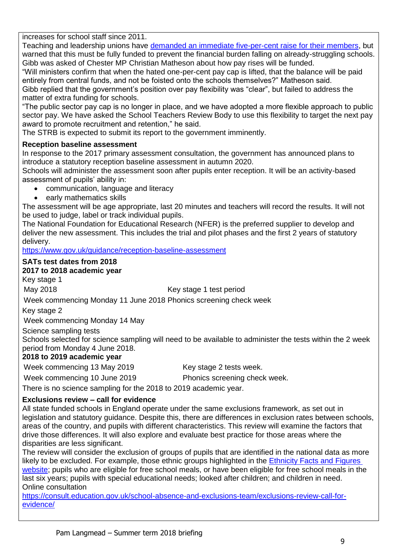increases for school staff since 2011.

Teaching and leadership unions have [demanded an immediate five-per-cent raise for their members,](https://schoolsweek.co.uk/unions-demand-significant-pay-rise-for-teachers-and-heads/) but warned that this must be fully funded to prevent the financial burden falling on already-struggling schools. Gibb was asked of Chester MP Christian Matheson about how pay rises will be funded.

"Will ministers confirm that when the hated one-per-cent pay cap is lifted, that the balance will be paid entirely from central funds, and not be foisted onto the schools themselves?" Matheson said.

Gibb replied that the government's position over pay flexibility was "clear", but failed to address the matter of extra funding for schools.

"The public sector pay cap is no longer in place, and we have adopted a more flexible approach to public sector pay. We have asked the School Teachers Review Body to use this flexibility to target the next pay award to promote recruitment and retention," he said.

The STRB is expected to submit its report to the government imminently.

#### **Reception baseline assessment**

In response to the 2017 primary assessment consultation, the government has announced plans to introduce a statutory reception baseline assessment in autumn 2020.

Schools will administer the assessment soon after pupils enter reception. It will be an activity-based assessment of pupils' ability in:

- communication, language and literacy
- early mathematics skills

The assessment will be age appropriate, last 20 minutes and teachers will record the results. It will not be used to judge, label or track individual pupils.

The National Foundation for Educational Research (NFER) is the preferred supplier to develop and deliver the new assessment. This includes the trial and pilot phases and the first 2 years of statutory delivery.

<https://www.gov.uk/guidance/reception-baseline-assessment>

#### **SATs test dates from 2018**

**2017 to 2018 academic year**

Key stage 1

May 2018 May 2018

Week commencing Monday 11 June 2018 Phonics screening check week

Key stage 2

Week commencing Monday 14 May

Science sampling tests

Schools selected for science sampling will need to be available to administer the tests within the 2 week period from Monday 4 June 2018.

#### **2018 to 2019 academic year**

Week commencing 13 May 2019 Key stage 2 tests week.

Week commencing 10 June 2019 Phonics screening check week.

There is no science sampling for the 2018 to 2019 academic year.

#### **Exclusions review – call for evidence**

All state funded schools in England operate under the same exclusions framework, as set out in legislation and statutory guidance. Despite this, there are differences in exclusion rates between schools, areas of the country, and pupils with different characteristics. This review will examine the factors that drive those differences. It will also explore and evaluate best practice for those areas where the disparities are less significant.

The review will consider the exclusion of groups of pupils that are identified in the national data as more likely to be excluded. For example, those ethnic groups highlighted in the [Ethnicity Facts and Figures](https://www.ethnicity-facts-figures.service.gov.uk/)  [website;](https://www.ethnicity-facts-figures.service.gov.uk/) pupils who are eligible for free school meals, or have been eligible for free school meals in the last six years; pupils with special educational needs; looked after children; and children in need. Online consultation

[https://consult.education.gov.uk/school-absence-and-exclusions-team/exclusions-review-call-for](https://consult.education.gov.uk/school-absence-and-exclusions-team/exclusions-review-call-for-evidence/)[evidence/](https://consult.education.gov.uk/school-absence-and-exclusions-team/exclusions-review-call-for-evidence/)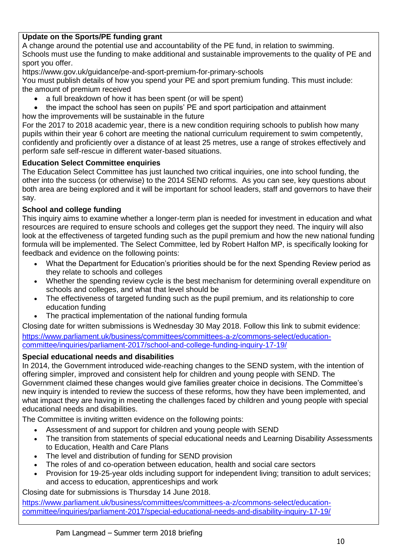### **Update on the Sports/PE funding grant**

A change around the potential use and accountability of the PE fund, in relation to swimming. Schools must use the funding to make additional and sustainable improvements to the quality of PE and sport you offer.

https://www.gov.uk/guidance/pe-and-sport-premium-for-primary-schools

You must publish details of how you spend your PE and sport premium funding. This must include: the amount of premium received

- a full breakdown of how it has been spent (or will be spent)
- the impact the school has seen on pupils' PE and sport participation and attainment how the improvements will be sustainable in the future

For the 2017 to 2018 academic year, there is a new condition requiring schools to publish how many pupils within their year 6 cohort are meeting the national curriculum requirement to swim competently, confidently and proficiently over a distance of at least 25 metres, use a range of strokes effectively and perform safe self-rescue in different water-based situations.

#### **Education Select Committee enquiries**

The Education Select Committee has just launched two critical inquiries, one into school funding, the other into the success (or otherwise) to the 2014 SEND reforms. As you can see, key questions about both area are being explored and it will be important for school leaders, staff and governors to have their say.

#### **School and college funding**

This inquiry aims to examine whether a longer-term plan is needed for investment in education and what resources are required to ensure schools and colleges get the support they need. The inquiry will also look at the effectiveness of targeted funding such as the pupil premium and how the new national funding formula will be implemented. The Select Committee, led by Robert Halfon MP, is specifically looking for feedback and evidence on the following points:

- What the Department for Education's priorities should be for the next Spending Review period as they relate to schools and colleges
- Whether the spending review cycle is the best mechanism for determining overall expenditure on schools and colleges, and what that level should be
- The effectiveness of targeted funding such as the pupil premium, and its relationship to core education funding
- The practical implementation of the national funding formula

Closing date for written submissions is Wednesday 30 May 2018. Follow this link to submit evidence: [https://www.parliament.uk/business/committees/committees-a-z/commons-select/education](https://www.parliament.uk/business/committees/committees-a-z/commons-select/education-committee/inquiries/parliament-2017/school-and-college-funding-inquiry-17-19/)[committee/inquiries/parliament-2017/school-and-college-funding-inquiry-17-19/](https://www.parliament.uk/business/committees/committees-a-z/commons-select/education-committee/inquiries/parliament-2017/school-and-college-funding-inquiry-17-19/)

#### **Special educational needs and disabilities**

In 2014, the Government introduced wide-reaching changes to the SEND system, with the intention of offering simpler, improved and consistent help for children and young people with SEND. The Government claimed these changes would give families greater choice in decisions. The Committee's new inquiry is intended to review the success of these reforms, how they have been implemented, and what impact they are having in meeting the challenges faced by children and young people with special educational needs and disabilities.

The Committee is inviting written evidence on the following points:

- Assessment of and support for children and young people with SEND
- The transition from statements of special educational needs and Learning Disability Assessments to Education, Health and Care Plans
- The level and distribution of funding for SEND provision
- The roles of and co-operation between education, health and social care sectors
- Provision for 19-25-year olds including support for independent living; transition to adult services; and access to education, apprenticeships and work

Closing date for submissions is Thursday 14 June 2018.

[https://www.parliament.uk/business/committees/committees-a-z/commons-select/education](https://www.parliament.uk/business/committees/committees-a-z/commons-select/education-committee/inquiries/parliament-2017/special-educational-needs-and-disability-inquiry-17-19/)[committee/inquiries/parliament-2017/special-educational-needs-and-disability-inquiry-17-19/](https://www.parliament.uk/business/committees/committees-a-z/commons-select/education-committee/inquiries/parliament-2017/special-educational-needs-and-disability-inquiry-17-19/)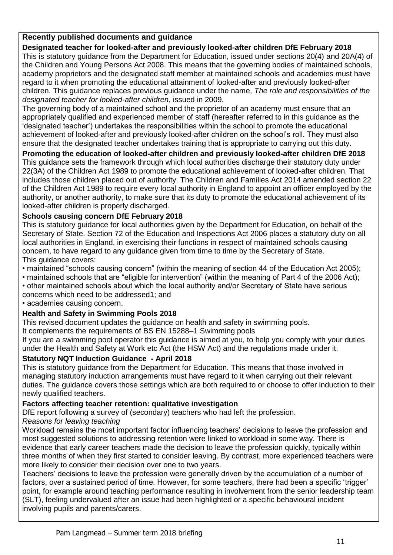## **Recently published documents and guidance**

**Designated teacher for looked-after and previously looked-after children DfE February 2018**

This is statutory guidance from the Department for Education, issued under sections 20(4) and 20A(4) of the Children and Young Persons Act 2008. This means that the governing bodies of maintained schools, academy proprietors and the designated staff member at maintained schools and academies must have regard to it when promoting the educational attainment of looked-after and previously looked-after children. This guidance replaces previous guidance under the name, *The role and responsibilities of the designated teacher for looked-after children*, issued in 2009.

The governing body of a maintained school and the proprietor of an academy must ensure that an appropriately qualified and experienced member of staff (hereafter referred to in this guidance as the 'designated teacher') undertakes the responsibilities within the school to promote the educational achievement of looked-after and previously looked-after children on the school's roll. They must also ensure that the designated teacher undertakes training that is appropriate to carrying out this duty.

**Promoting the education of looked-after children and previously looked-after children DfE 2018** This guidance sets the framework through which local authorities discharge their statutory duty under 22(3A) of the Children Act 1989 to promote the educational achievement of looked-after children. That includes those children placed out of authority. The Children and Families Act 2014 amended section 22 of the Children Act 1989 to require every local authority in England to appoint an officer employed by the authority, or another authority, to make sure that its duty to promote the educational achievement of its looked-after children is properly discharged.

#### **Schools causing concern DfE February 2018**

This is statutory guidance for local authorities given by the Department for Education, on behalf of the Secretary of State. Section 72 of the Education and Inspections Act 2006 places a statutory duty on all local authorities in England, in exercising their functions in respect of maintained schools causing concern, to have regard to any guidance given from time to time by the Secretary of State. This guidance covers:

- maintained "schools causing concern" (within the meaning of section 44 of the Education Act 2005);
- maintained schools that are "eligible for intervention" (within the meaning of Part 4 of the 2006 Act);
- other maintained schools about which the local authority and/or Secretary of State have serious concerns which need to be addressed1; and

• academies causing concern.

#### **Health and Safety in Swimming Pools 2018**

This revised document updates the guidance on health and safety in swimming pools.

It complements the requirements of BS EN 15288–1 Swimming pools

If you are a swimming pool operator this guidance is aimed at you, to help you comply with your duties under the Health and Safety at Work etc Act (the HSW Act) and the regulations made under it.

#### **Statutory NQT Induction Guidance - April 2018**

This is statutory guidance from the Department for Education. This means that those involved in managing statutory induction arrangements must have regard to it when carrying out their relevant duties. The guidance covers those settings which are both required to or choose to offer induction to their newly qualified teachers.

#### **Factors affecting teacher retention: qualitative investigation**

DfE report following a survey of (secondary) teachers who had left the profession.

#### *Reasons for leaving teaching*

Workload remains the most important factor influencing teachers' decisions to leave the profession and most suggested solutions to addressing retention were linked to workload in some way. There is evidence that early career teachers made the decision to leave the profession quickly, typically within three months of when they first started to consider leaving. By contrast, more experienced teachers were more likely to consider their decision over one to two years.

Teachers' decisions to leave the profession were generally driven by the accumulation of a number of factors, over a sustained period of time. However, for some teachers, there had been a specific 'trigger' point, for example around teaching performance resulting in involvement from the senior leadership team (SLT), feeling undervalued after an issue had been highlighted or a specific behavioural incident involving pupils and parents/carers.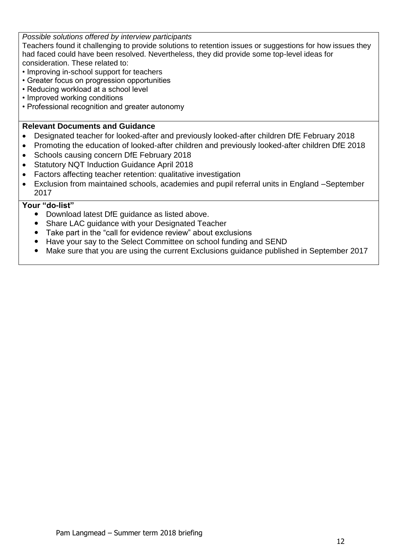*Possible solutions offered by interview participants*  Teachers found it challenging to provide solutions to retention issues or suggestions for how issues they had faced could have been resolved. Nevertheless, they did provide some top-level ideas for consideration. These related to:

- Improving in-school support for teachers
- Greater focus on progression opportunities
- Reducing workload at a school level
- Improved working conditions
- Professional recognition and greater autonomy

#### **Relevant Documents and Guidance**

- Designated teacher for looked-after and previously looked-after children DfE February 2018
- Promoting the education of looked-after children and previously looked-after children DfE 2018
- Schools causing concern DfE February 2018
- Statutory NQT Induction Guidance April 2018
- Factors affecting teacher retention: qualitative investigation
- Exclusion from maintained schools, academies and pupil referral units in England –September 2017

- Download latest DfE guidance as listed above.
- Share LAC guidance with your Designated Teacher
- Take part in the "call for evidence review" about exclusions
- Have your say to the Select Committee on school funding and SEND
- Make sure that you are using the current Exclusions guidance published in September 2017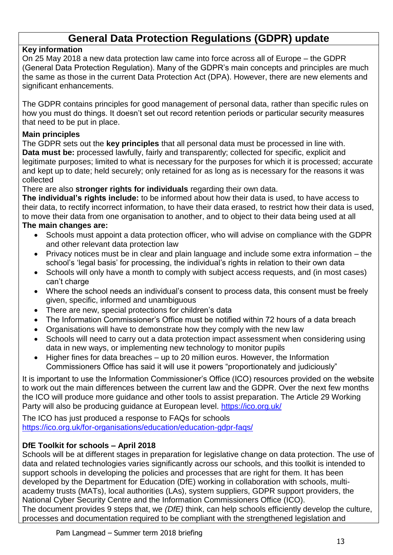# **General Data Protection Regulations (GDPR) update**

# **Key information**

On 25 May 2018 a new data protection law came into force across all of Europe – the GDPR (General Data Protection Regulation). Many of the GDPR's main concepts and principles are much the same as those in the current Data Protection Act (DPA). However, there are new elements and significant enhancements.

The GDPR contains principles for good management of personal data, rather than specific rules on how you must do things. It doesn't set out record retention periods or particular security measures that need to be put in place.

## **Main principles**

The GDPR sets out the **key principles** that all personal data must be processed in line with. **Data must be:** processed lawfully, fairly and transparently; collected for specific, explicit and legitimate purposes; limited to what is necessary for the purposes for which it is processed; accurate and kept up to date; held securely; only retained for as long as is necessary for the reasons it was collected

There are also **stronger rights for individuals** regarding their own data.

**The individual's rights include:** to be informed about how their data is used, to have access to their data, to rectify incorrect information, to have their data erased, to restrict how their data is used, to move their data from one organisation to another, and to object to their data being used at all **The main changes are:**

- Schools must appoint a data protection officer, who will advise on compliance with the GDPR and other relevant data protection law
- Privacy notices must be in clear and plain language and include some extra information the school's 'legal basis' for processing, the individual's rights in relation to their own data
- Schools will only have a month to comply with subject access requests, and (in most cases) can't charge
- Where the school needs an individual's consent to process data, this consent must be freely given, specific, informed and unambiguous
- There are new, special protections for children's data
- The Information Commissioner's Office must be notified within 72 hours of a data breach
- Organisations will have to demonstrate how they comply with the new law
- Schools will need to carry out a data protection impact assessment when considering using data in new ways, or implementing new technology to monitor pupils
- Higher fines for data breaches up to 20 million euros. However, the Information Commissioners Office has said it will use it powers "proportionately and judiciously"

It is important to use the Information Commissioner's Office (ICO) resources provided on the website to work out the main differences between the current law and the GDPR. Over the next few months the ICO will produce more guidance and other tools to assist preparation. The Article 29 Working Party will also be producing guidance at European level.<https://ico.org.uk/>

The ICO has just produced a response to FAQs for schools <https://ico.org.uk/for-organisations/education/education-gdpr-faqs/>

# **DfE Toolkit for schools – April 2018**

Schools will be at different stages in preparation for legislative change on data protection. The use of data and related technologies varies significantly across our schools, and this toolkit is intended to support schools in developing the policies and processes that are right for them. It has been developed by the Department for Education (DfE) working in collaboration with schools, multiacademy trusts (MATs), local authorities (LAs), system suppliers, GDPR support providers, the National Cyber Security Centre and the Information Commissioners Office (ICO). The document provides 9 steps that, we *(DfE)* think, can help schools efficiently develop the culture, processes and documentation required to be compliant with the strengthened legislation and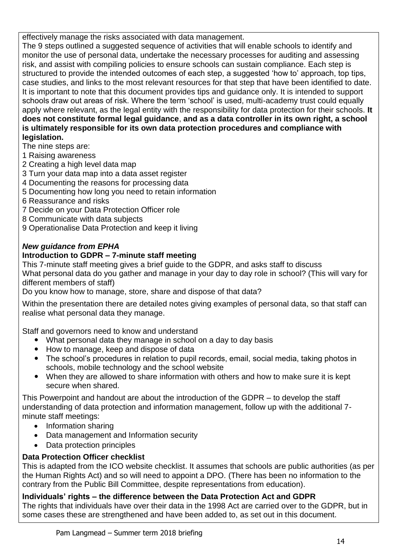effectively manage the risks associated with data management.

The 9 steps outlined a suggested sequence of activities that will enable schools to identify and monitor the use of personal data, undertake the necessary processes for auditing and assessing risk, and assist with compiling policies to ensure schools can sustain compliance. Each step is structured to provide the intended outcomes of each step, a suggested 'how to' approach, top tips, case studies, and links to the most relevant resources for that step that have been identified to date. It is important to note that this document provides tips and guidance only. It is intended to support schools draw out areas of risk. Where the term 'school' is used, multi-academy trust could equally apply where relevant, as the legal entity with the responsibility for data protection for their schools. **It does not constitute formal legal guidance**, **and as a data controller in its own right, a school is ultimately responsible for its own data protection procedures and compliance with legislation.**

- The nine steps are:
- 1 Raising awareness
- 2 Creating a high level data map
- 3 Turn your data map into a data asset register
- 4 Documenting the reasons for processing data
- 5 Documenting how long you need to retain information
- 6 Reassurance and risks
- 7 Decide on your Data Protection Officer role
- 8 Communicate with data subjects
- 9 Operationalise Data Protection and keep it living

# *New guidance from EPHA*

#### **Introduction to GDPR – 7-minute staff meeting**

This 7-minute staff meeting gives a brief guide to the GDPR, and asks staff to discuss What personal data do you gather and manage in your day to day role in school? (This will vary for different members of staff)

Do you know how to manage, store, share and dispose of that data?

Within the presentation there are detailed notes giving examples of personal data, so that staff can realise what personal data they manage.

Staff and governors need to know and understand

- What personal data they manage in school on a day to day basis
- How to manage, keep and dispose of data
- The school's procedures in relation to pupil records, email, social media, taking photos in schools, mobile technology and the school website
- When they are allowed to share information with others and how to make sure it is kept secure when shared.

This Powerpoint and handout are about the introduction of the GDPR – to develop the staff understanding of data protection and information management, follow up with the additional 7 minute staff meetings:

- Information sharing
- Data management and Information security
- Data protection principles

# **Data Protection Officer checklist**

This is adapted from the ICO website checklist. It assumes that schools are public authorities (as per the Human Rights Act) and so will need to appoint a DPO. (There has been no information to the contrary from the Public Bill Committee, despite representations from education).

# **Individuals' rights – the difference between the Data Protection Act and GDPR**

The rights that individuals have over their data in the 1998 Act are carried over to the GDPR, but in some cases these are strengthened and have been added to, as set out in this document.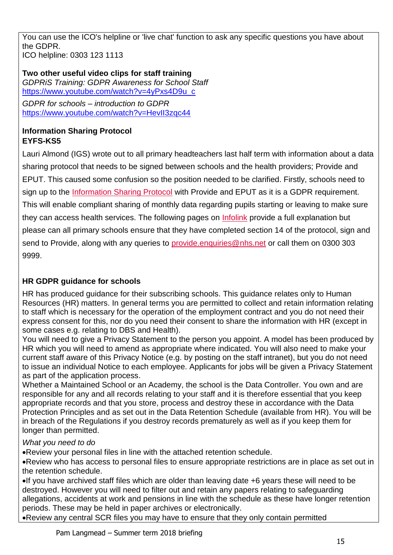You can use the ICO's helpline or 'live chat' function to ask any specific questions you have about the GDPR. ICO helpline: 0303 123 1113

**Two other useful video clips for staff training** *GDPRiS Training: GDPR Awareness for School Staff* [https://www.youtube.com/watch?v=4yPxs4D9u\\_c](https://www.youtube.com/watch?v=4yPxs4D9u_c) *GDPR for schools – introduction to GDPR* <https://www.youtube.com/watch?v=HevII3zqc44>

# **Information Sharing Protocol EYFS-KS5**

Lauri Almond (IGS) wrote out to all primary headteachers last half term with information about a data sharing protocol that needs to be signed between schools and the health providers; Provide and EPUT. This caused some confusion so the position needed to be clarified. Firstly, schools need to sign up to the [Information Sharing Protocol](http://links.govdelivery.com/track?type=click&enid=ZWFzPTEmbWFpbGluZ2lkPTIwMTgwNDE2Ljg4NDQ2MzYxJm1lc3NhZ2VpZD1NREItUFJELUJVTC0yMDE4MDQxNi44ODQ0NjM2MSZkYXRhYmFzZWlkPTEwMDEmc2VyaWFsPTE3MzE2Mzk3JmVtYWlsaWQ9cGFtQGxhbmdtZWFkLm1lLnVrJnVzZXJpZD1wYW1AbGFuZ21lYWQubWUudWsmZmw9JmV4dHJhPU11bHRpdmFyaWF0ZUlkPSYmJg==&&&104&&&http://schools.essex.gov.uk/info/News/Pages/Data-Sharing.aspx) with Provide and EPUT as it is a GDPR requirement. This will enable compliant sharing of monthly data regarding pupils starting or leaving to make sure they can access health services. The following pages on [Infolink](http://links.govdelivery.com/track?type=click&enid=ZWFzPTEmbWFpbGluZ2lkPTIwMTgwNDE2Ljg4NDQ2MzYxJm1lc3NhZ2VpZD1NREItUFJELUJVTC0yMDE4MDQxNi44ODQ0NjM2MSZkYXRhYmFzZWlkPTEwMDEmc2VyaWFsPTE3MzE2Mzk3JmVtYWlsaWQ9cGFtQGxhbmdtZWFkLm1lLnVrJnVzZXJpZD1wYW1AbGFuZ21lYWQubWUudWsmZmw9JmV4dHJhPU11bHRpdmFyaWF0ZUlkPSYmJg==&&&105&&&http://schools.essex.gov.uk/info/News/Pages/Data-Sharing.aspx) provide a full explanation but please can all primary schools ensure that they have completed section 14 of the protocol, sign and send to Provide, along with any queries to [provide.enquiries@nhs.net](mailto:provide.enquiries@nhs.net) or call them on 0300 303 9999.

# **HR GDPR guidance for schools**

HR has produced guidance for their subscribing schools. This guidance relates only to Human Resources (HR) matters. In general terms you are permitted to collect and retain information relating to staff which is necessary for the operation of the employment contract and you do not need their express consent for this, nor do you need their consent to share the information with HR (except in some cases e.g. relating to DBS and Health).

You will need to give a Privacy Statement to the person you appoint. A model has been produced by HR which you will need to amend as appropriate where indicated. You will also need to make your current staff aware of this Privacy Notice (e.g. by posting on the staff intranet), but you do not need to issue an individual Notice to each employee. Applicants for jobs will be given a Privacy Statement as part of the application process.

Whether a Maintained School or an Academy, the school is the Data Controller. You own and are responsible for any and all records relating to your staff and it is therefore essential that you keep appropriate records and that you store, process and destroy these in accordance with the Data Protection Principles and as set out in the Data Retention Schedule (available from HR). You will be in breach of the Regulations if you destroy records prematurely as well as if you keep them for longer than permitted.

# *What you need to do*

Review your personal files in line with the attached retention schedule.

Review who has access to personal files to ensure appropriate restrictions are in place as set out in the retention schedule.

•If you have archived staff files which are older than leaving date +6 years these will need to be destroyed. However you will need to filter out and retain any papers relating to safeguarding allegations, accidents at work and pensions in line with the schedule as these have longer retention periods. These may be held in paper archives or electronically.

Review any central SCR files you may have to ensure that they only contain permitted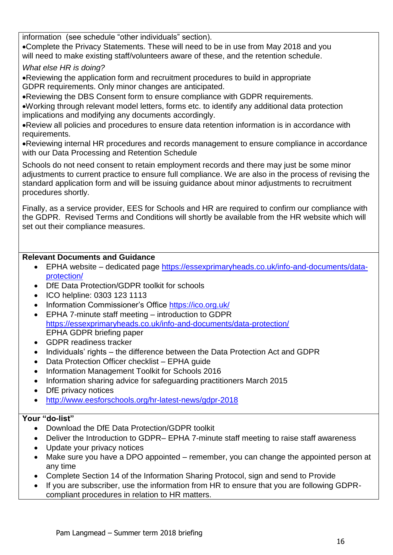information (see schedule "other individuals" section).

Complete the Privacy Statements. These will need to be in use from May 2018 and you will need to make existing staff/volunteers aware of these, and the retention schedule.

# *What else HR is doing?*

Reviewing the application form and recruitment procedures to build in appropriate GDPR requirements. Only minor changes are anticipated.

Reviewing the DBS Consent form to ensure compliance with GDPR requirements. Working through relevant model letters, forms etc. to identify any additional data protection implications and modifying any documents accordingly.

Review all policies and procedures to ensure data retention information is in accordance with requirements.

Reviewing internal HR procedures and records management to ensure compliance in accordance with our Data Processing and Retention Schedule

Schools do not need consent to retain employment records and there may just be some minor adjustments to current practice to ensure full compliance. We are also in the process of revising the standard application form and will be issuing guidance about minor adjustments to recruitment procedures shortly.

Finally, as a service provider, EES for Schools and HR are required to confirm our compliance with the GDPR. Revised Terms and Conditions will shortly be available from the HR website which will set out their compliance measures.

#### **Relevant Documents and Guidance**

- EPHA website dedicated page [https://essexprimaryheads.co.uk/info-and-documents/data](https://essexprimaryheads.co.uk/info-and-documents/data-protection/)[protection/](https://essexprimaryheads.co.uk/info-and-documents/data-protection/)
- DfE Data Protection/GDPR toolkit for schools
- ICO helpline: 0303 123 1113
- Information Commissioner's Office<https://ico.org.uk/>
- EPHA 7-minute staff meeting introduction to GDPR <https://essexprimaryheads.co.uk/info-and-documents/data-protection/> EPHA GDPR briefing paper
- GDPR readiness tracker
- Individuals' rights the difference between the Data Protection Act and GDPR
- Data Protection Officer checklist EPHA guide
- Information Management Toolkit for Schools 2016
- Information sharing advice for safeguarding practitioners March 2015
- DfE privacy notices
- <http://www.eesforschools.org/hr-latest-news/gdpr-2018>

- Download the DfE Data Protection/GDPR toolkit
- Deliver the Introduction to GDPR– EPHA 7-minute staff meeting to raise staff awareness
- Update your privacy notices
- Make sure you have a DPO appointed remember, you can change the appointed person at any time
- Complete Section 14 of the Information Sharing Protocol, sign and send to Provide
- If you are subscriber, use the information from HR to ensure that you are following GDPRcompliant procedures in relation to HR matters.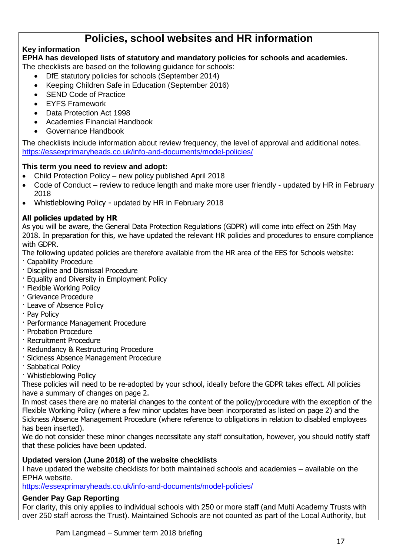# **Policies, school websites and HR information**

## **Key information**

# **EPHA has developed lists of statutory and mandatory policies for schools and academies.**

- The checklists are based on the following guidance for schools:
	- DfE statutory policies for schools (September 2014)
	- Keeping Children Safe in Education (September 2016)
	- SEND Code of Practice
	- EYFS Framework
	- Data Protection Act 1998
	- Academies Financial Handbook
	- Governance Handbook

The checklists include information about review frequency, the level of approval and additional notes. <https://essexprimaryheads.co.uk/info-and-documents/model-policies/>

## **This term you need to review and adopt:**

- Child Protection Policy new policy published April 2018
- Code of Conduct review to reduce length and make more user friendly updated by HR in February 2018
- Whistleblowing Policy updated by HR in February 2018

#### **All policies updated by HR**

As you will be aware, the General Data Protection Regulations (GDPR) will come into effect on 25th May 2018. In preparation for this, we have updated the relevant HR policies and procedures to ensure compliance with GDPR.

The following updated policies are therefore available from the HR area of the EES for Schools website:

- · Capability Procedure
- · Discipline and Dismissal Procedure
- · Equality and Diversity in Employment Policy
- · Flexible Working Policy
- · Grievance Procedure
- · Leave of Absence Policy
- · Pay Policy
- · Performance Management Procedure
- · Probation Procedure
- · Recruitment Procedure
- · Redundancy & Restructuring Procedure
- · Sickness Absence Management Procedure
- · Sabbatical Policy
- · Whistleblowing Policy

These policies will need to be re-adopted by your school, ideally before the GDPR takes effect. All policies have a summary of changes on page 2.

In most cases there are no material changes to the content of the policy/procedure with the exception of the Flexible Working Policy (where a few minor updates have been incorporated as listed on page 2) and the Sickness Absence Management Procedure (where reference to obligations in relation to disabled employees has been inserted).

We do not consider these minor changes necessitate any staff consultation, however, you should notify staff that these policies have been updated.

#### **Updated version (June 2018) of the website checklists**

I have updated the website checklists for both maintained schools and academies – available on the EPHA website.

<https://essexprimaryheads.co.uk/info-and-documents/model-policies/>

#### **Gender Pay Gap Reporting**

For clarity, this only applies to individual schools with 250 or more staff (and Multi Academy Trusts with over 250 staff across the Trust). Maintained Schools are not counted as part of the Local Authority, but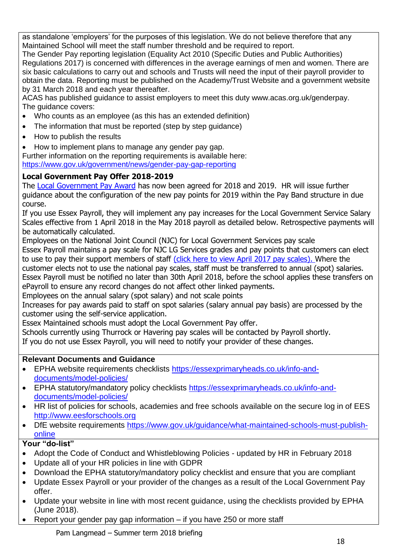as standalone 'employers' for the purposes of this legislation. We do not believe therefore that any Maintained School will meet the staff number threshold and be required to report.

The Gender Pay reporting legislation (Equality Act 2010 (Specific Duties and Public Authorities) Regulations 2017) is concerned with differences in the average earnings of men and women. There are six basic calculations to carry out and schools and Trusts will need the input of their payroll provider to obtain the data. Reporting must be published on the Academy/Trust Website and a government website by 31 March 2018 and each year thereafter.

ACAS has published guidance to assist employers to meet this duty www.acas.org.uk/genderpay. The guidance covers:

- Who counts as an employee (as this has an extended definition)
- The information that must be reported (step by step guidance)
- How to publish the results
- How to implement plans to manage any gender pay gap.

Further information on the reporting requirements is available here: <https://www.gov.uk/government/news/gender-pay-gap-reporting>

## **Local Government Pay Offer 2018-2019**

The [Local Government Pay Award](http://www.eesforschools.org/hr-latest-news/local-government-pay-proposals-2018-2019) has now been agreed for 2018 and 2019. HR will issue further guidance about the configuration of the new pay points for 2019 within the Pay Band structure in due course.

If you use Essex Payroll, they will implement any pay increases for the Local Government Service Salary Scales effective from 1 April 2018 in the May 2018 payroll as detailed below. Retrospective payments will be automatically calculated.

Employees on the National Joint Council (NJC) for Local Government Services pay scale

Essex Payroll maintains a pay scale for NJC LG Services grades and pay points that customers can elect to use to pay their support members of staff [\(click here to view April 2017 pay scales\). W](https://schools-secure.essex.gov.uk/staff/payroll/Pages/PayScalesCostCodesPositions.aspx)here the

customer elects not to use the national pay scales, staff must be transferred to annual (spot) salaries. Essex Payroll must be notified no later than 30th April 2018, before the school applies these transfers on ePayroll to ensure any record changes do not affect other linked payments.

Employees on the annual salary (spot salary) and not scale points

Increases for pay awards paid to staff on spot salaries (salary annual pay basis) are processed by the customer using the self-service application.

Essex Maintained schools must adopt the Local Government Pay offer.

Schools currently using Thurrock or Havering pay scales will be contacted by Payroll shortly.

If you do not use Essex Payroll, you will need to notify your provider of these changes.

#### **Relevant Documents and Guidance**

- EPHA website requirements checklists [https://essexprimaryheads.co.uk/info-and](https://essexprimaryheads.co.uk/info-and-documents/model-policies/)[documents/model-policies/](https://essexprimaryheads.co.uk/info-and-documents/model-policies/)
- EPHA statutory/mandatory policy checklists [https://essexprimaryheads.co.uk/info-and](https://essexprimaryheads.co.uk/info-and-documents/model-policies/)[documents/model-policies/](https://essexprimaryheads.co.uk/info-and-documents/model-policies/)
- HR list of policies for schools, academies and free schools available on the secure log in of EES [http://www.eesforschools.org](http://www.eesforschools.org/)
- DfE website requirements [https://www.gov.uk/guidance/what-maintained-schools-must-publish](https://www.gov.uk/guidance/what-maintained-schools-must-publish-online)[online](https://www.gov.uk/guidance/what-maintained-schools-must-publish-online)

- Adopt the Code of Conduct and Whistleblowing Policies updated by HR in February 2018
- Update all of your HR policies in line with GDPR
- Download the EPHA statutory/mandatory policy checklist and ensure that you are compliant
- Update Essex Payroll or your provider of the changes as a result of the Local Government Pay offer.
- Update your website in line with most recent guidance, using the checklists provided by EPHA (June 2018).
- Report your gender pay gap information if you have 250 or more staff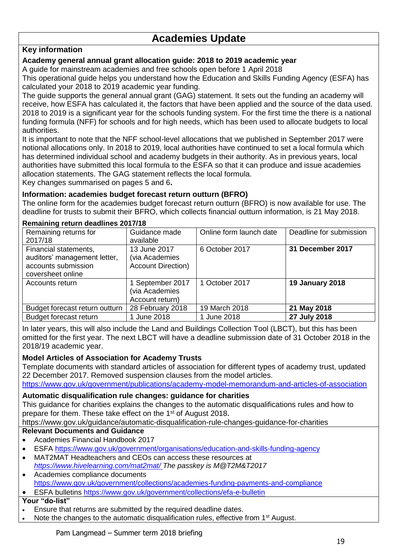# **Academies Update**

# **Key information**

#### **Academy general annual grant allocation guide: 2018 to 2019 academic year**

A guide for mainstream academies and free schools open before 1 April 2018

This operational guide helps you understand how the Education and Skills Funding Agency (ESFA) has calculated your 2018 to 2019 academic year funding.

The guide supports the general annual grant (GAG) statement. It sets out the funding an academy will receive, how ESFA has calculated it, the factors that have been applied and the source of the data used. 2018 to 2019 is a significant year for the schools funding system. For the first time the there is a national funding formula (NFF) for schools and for high needs, which has been used to allocate budgets to local authorities.

It is important to note that the NFF school-level allocations that we published in September 2017 were notional allocations only. In 2018 to 2019, local authorities have continued to set a local formula which has determined individual school and academy budgets in their authority. As in previous years, local authorities have submitted this local formula to the ESFA so that it can produce and issue academies allocation statements. The GAG statement reflects the local formula.

Key changes summarised on pages 5 and 6**.** 

#### **Information: academies budget forecast return outturn (BFRO)**

The online form for the academies budget forecast return outturn (BFRO) is now available for use. The deadline for trusts to submit their BFRO, which collects financial outturn information, is 21 May 2018.

| Remaining returns for                                 | Guidance made                                         | Online form launch date | Deadline for submission |
|-------------------------------------------------------|-------------------------------------------------------|-------------------------|-------------------------|
| 2017/18                                               | available                                             |                         |                         |
| Financial statements,<br>auditors' management letter, | 13 June 2017<br>(via Academies                        | 6 October 2017          | 31 December 2017        |
| accounts submission<br>coversheet online              | <b>Account Direction)</b>                             |                         |                         |
|                                                       |                                                       |                         |                         |
| Accounts return                                       | 1 September 2017<br>(via Academies<br>Account return) | 1 October 2017          | <b>19 January 2018</b>  |
| Budget forecast return outturn                        | 28 February 2018                                      | 19 March 2018           | 21 May 2018             |
| Budget forecast return                                | 1 June 2018                                           | 1 June 2018             | 27 July 2018            |

#### **Remaining return deadlines 2017/18**

In later years, this will also include the Land and Buildings Collection Tool (LBCT), but this has been omitted for the first year. The next LBCT will have a deadline submission date of 31 October 2018 in the 2018/19 academic year.

#### **Model Articles of Association for Academy Trusts**

Template documents with standard articles of association for different types of academy trust, updated 22 December 2017. Removed suspension clauses from the model articles.

<https://www.gov.uk/government/publications/academy-model-memorandum-and-articles-of-association>

#### **Automatic disqualification rule changes: guidance for charities**

This guidance for charities explains the changes to the automatic disqualifications rules and how to prepare for them. These take effect on the 1<sup>st</sup> of August 2018.

https://www.gov.uk/guidance/automatic-disqualification-rule-changes-guidance-for-charities

# **Relevant Documents and Guidance**

- Academies Financial Handbook 2017
- ESFA<https://www.gov.uk/government/organisations/education-and-skills-funding-agency>
- MAT2MAT Headteachers and CEOs can access these resources at *<https://www.hivelearning.com/mat2mat/> The passkey is M@T2M&T2017*
- Academies compliance documents <https://www.gov.uk/government/collections/academies-funding-payments-and-compliance>
- ESFA bulletins<https://www.gov.uk/government/collections/efa-e-bulletin>

- Ensure that returns are submitted by the required deadline dates.
- Note the changes to the automatic disqualification rules, effective from  $1<sup>st</sup>$  August.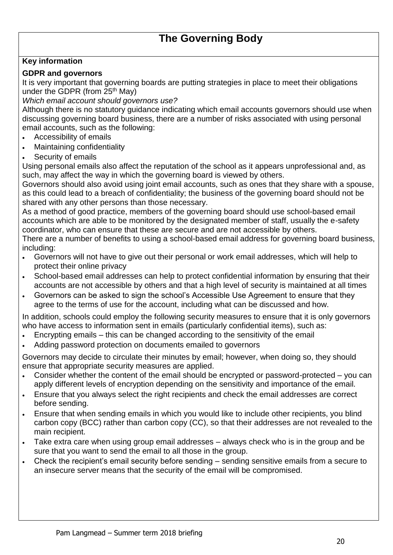# **Key information**

# **GDPR and governors**

It is very important that governing boards are putting strategies in place to meet their obligations under the GDPR (from 25th May)

*Which email account should governors use?* 

Although there is no statutory guidance indicating which email accounts governors should use when discussing governing board business, there are a number of risks associated with using personal email accounts, such as the following:

- Accessibility of emails
- Maintaining confidentiality
- Security of emails

Using personal emails also affect the reputation of the school as it appears unprofessional and, as such, may affect the way in which the governing board is viewed by others.

Governors should also avoid using joint email accounts, such as ones that they share with a spouse, as this could lead to a breach of confidentiality; the business of the governing board should not be shared with any other persons than those necessary.

As a method of good practice, members of the governing board should use school-based email accounts which are able to be monitored by the designated member of staff, usually the e-safety coordinator, who can ensure that these are secure and are not accessible by others.

There are a number of benefits to using a school-based email address for governing board business, including:

- Governors will not have to give out their personal or work email addresses, which will help to protect their online privacy
- School-based email addresses can help to protect confidential information by ensuring that their accounts are not accessible by others and that a high level of security is maintained at all times
- Governors can be asked to sign the school's Accessible Use Agreement to ensure that they agree to the terms of use for the account, including what can be discussed and how.

In addition, schools could employ the following security measures to ensure that it is only governors who have access to information sent in emails (particularly confidential items), such as:

- Encrypting emails this can be changed according to the sensitivity of the email
- Adding password protection on documents emailed to governors

Governors may decide to circulate their minutes by email; however, when doing so, they should ensure that appropriate security measures are applied.

- Consider whether the content of the email should be encrypted or password-protected you can apply different levels of encryption depending on the sensitivity and importance of the email.
- Ensure that you always select the right recipients and check the email addresses are correct before sending.
- Ensure that when sending emails in which you would like to include other recipients, you blind carbon copy (BCC) rather than carbon copy (CC), so that their addresses are not revealed to the main recipient.
- Take extra care when using group email addresses always check who is in the group and be sure that you want to send the email to all those in the group.
- Check the recipient's email security before sending sending sensitive emails from a secure to an insecure server means that the security of the email will be compromised.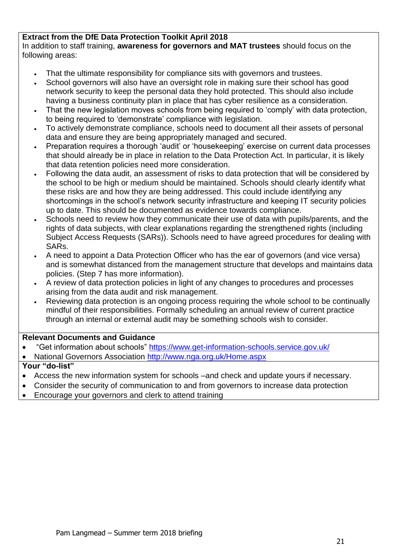# **Extract from the DfE Data Protection Toolkit April 2018**

### In addition to staff training, **awareness for governors and MAT trustees** should focus on the following areas:

- That the ultimate responsibility for compliance sits with governors and trustees.
- School governors will also have an oversight role in making sure their school has good network security to keep the personal data they hold protected. This should also include having a business continuity plan in place that has cyber resilience as a consideration.
- That the new legislation moves schools from being required to 'comply' with data protection, to being required to 'demonstrate' compliance with legislation.
- To actively demonstrate compliance, schools need to document all their assets of personal data and ensure they are being appropriately managed and secured.
- Preparation requires a thorough 'audit' or 'housekeeping' exercise on current data processes that should already be in place in relation to the Data Protection Act. In particular, it is likely that data retention policies need more consideration.
- Following the data audit, an assessment of risks to data protection that will be considered by the school to be high or medium should be maintained. Schools should clearly identify what these risks are and how they are being addressed. This could include identifying any shortcomings in the school's network security infrastructure and keeping IT security policies up to date. This should be documented as evidence towards compliance.
- Schools need to review how they communicate their use of data with pupils/parents, and the rights of data subjects, with clear explanations regarding the strengthened rights (including Subject Access Requests (SARs)). Schools need to have agreed procedures for dealing with SARs.
- A need to appoint a Data Protection Officer who has the ear of governors (and vice versa) and is somewhat distanced from the management structure that develops and maintains data policies. (Step 7 has more information).
- A review of data protection policies in light of any changes to procedures and processes arising from the data audit and risk management.
- Reviewing data protection is an ongoing process requiring the whole school to be continually mindful of their responsibilities. Formally scheduling an annual review of current practice through an internal or external audit may be something schools wish to consider.

## **Relevant Documents and Guidance**

- "Get information about schools"<https://www.get-information-schools.service.gov.uk/>
- National Governors Association<http://www.nga.org.uk/Home.aspx>

- Access the new information system for schools –and check and update yours if necessary.
- Consider the security of communication to and from governors to increase data protection
- Encourage your governors and clerk to attend training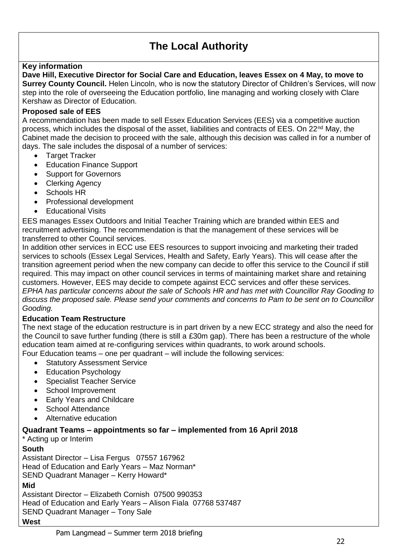# **The Local Authority**

#### **Key information**

**Dave Hill, Executive Director for Social Care and Education, leaves Essex on 4 May, to move to Surrey County Council.** Helen Lincoln, who is now the statutory Director of Children's Services, will now step into the role of overseeing the Education portfolio, line managing and working closely with Clare Kershaw as Director of Education.

#### **Proposed sale of EES**

A recommendation has been made to sell Essex Education Services (EES) via a competitive auction process, which includes the disposal of the asset, liabilities and contracts of EES. On 22<sup>nd</sup> May, the Cabinet made the decision to proceed with the sale, although this decision was called in for a number of days. The sale includes the disposal of a number of services:

- **Target Tracker**
- Education Finance Support
- Support for Governors
- Clerking Agency
- Schools HR
- Professional development
- Educational Visits

EES manages Essex Outdoors and Initial Teacher Training which are branded within EES and recruitment advertising. The recommendation is that the management of these services will be transferred to other Council services.

In addition other services in ECC use EES resources to support invoicing and marketing their traded services to schools (Essex Legal Services, Health and Safety, Early Years). This will cease after the transition agreement period when the new company can decide to offer this service to the Council if still required. This may impact on other council services in terms of maintaining market share and retaining customers. However, EES may decide to compete against ECC services and offer these services. *EPHA has particular concerns about the sale of Schools HR and has met with Councillor Ray Gooding to discuss the proposed sale. Please send your comments and concerns to Pam to be sent on to Councillor Gooding.*

#### **Education Team Restructure**

The next stage of the education restructure is in part driven by a new ECC strategy and also the need for the Council to save further funding (there is still a £30m gap). There has been a restructure of the whole education team aimed at re-configuring services within quadrants, to work around schools. Four Education teams – one per quadrant – will include the following services:

- Statutory Assessment Service
- Education Psychology
- Specialist Teacher Service
- School Improvement
- Early Years and Childcare
- School Attendance
- Alternative education

#### **Quadrant Teams – appointments so far – implemented from 16 April 2018**

\* Acting up or Interim

#### **South**

Assistant Director – Lisa Fergus 07557 167962 Head of Education and Early Years – Maz Norman\* SEND Quadrant Manager – Kerry Howard\* **Mid** Assistant Director – Elizabeth Cornish 07500 990353 Head of Education and Early Years – Alison Fiala 07768 537487 SEND Quadrant Manager – Tony Sale **West**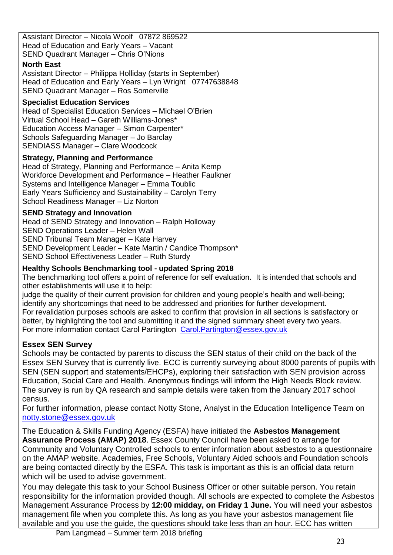Assistant Director – Nicola Woolf 07872 869522 Head of Education and Early Years – Vacant SEND Quadrant Manager – Chris O'Nions

## **North East**

Assistant Director – Philippa Holliday (starts in September) Head of Education and Early Years – Lyn Wright 07747638848 SEND Quadrant Manager – Ros Somerville

### **Specialist Education Services**

Head of Specialist Education Services – Michael O'Brien Virtual School Head – Gareth Williams-Jones\* Education Access Manager – Simon Carpenter\* Schools Safeguarding Manager – Jo Barclay SENDIASS Manager – Clare Woodcock

## **Strategy, Planning and Performance**

Head of Strategy, Planning and Performance – Anita Kemp Workforce Development and Performance – Heather Faulkner Systems and Intelligence Manager – Emma Toublic Early Years Sufficiency and Sustainability – Carolyn Terry School Readiness Manager – Liz Norton

#### **SEND Strategy and Innovation**

Head of SEND Strategy and Innovation – Ralph Holloway SEND Operations Leader – Helen Wall SEND Tribunal Team Manager – Kate Harvey SEND Development Leader – Kate Martin / Candice Thompson\* SEND School Effectiveness Leader – Ruth Sturdy

## **Healthy Schools Benchmarking tool - updated Spring 2018**

The benchmarking tool offers a point of reference for self evaluation. It is intended that schools and other establishments will use it to help:

judge the quality of their current provision for children and young people's health and well-being; identify any shortcomings that need to be addressed and priorities for further development. For revalidation purposes schools are asked to confirm that provision in all sections is satisfactory or better, by highlighting the tool and submitting it and the signed summary sheet every two years. For more information contact Carol Partington [Carol.Partington@essex.gov.uk](mailto:Carol.Partington@essex.gov.uk)

#### **Essex SEN Survey**

Schools may be contacted by parents to discuss the SEN status of their child on the back of the Essex SEN Survey that is currently live. ECC is currently surveying about 8000 parents of pupils with SEN (SEN support and statements/EHCPs), exploring their satisfaction with SEN provision across Education, Social Care and Health. Anonymous findings will inform the High Needs Block review. The survey is run by QA research and sample details were taken from the January 2017 school census.

For further information, please contact Notty Stone, Analyst in the Education Intelligence Team on [notty.stone@essex.gov.uk](mailto:notty.stone@essex.gov.uk)

The Education & Skills Funding Agency (ESFA) have initiated the **Asbestos Management Assurance Process (AMAP) 2018**. Essex County Council have been asked to arrange for Community and Voluntary Controlled schools to enter information about asbestos to a questionnaire on the AMAP website. Academies, Free Schools, Voluntary Aided schools and Foundation schools are being contacted directly by the ESFA. This task is important as this is an official data return which will be used to advise government.

You may delegate this task to your School Business Officer or other suitable person. You retain responsibility for the information provided though. All schools are expected to complete the Asbestos Management Assurance Process by **12:00 midday, on Friday 1 June.** You will need your asbestos management file when you complete this. As long as you have your asbestos management file available and you use the guide, the questions should take less than an hour. ECC has written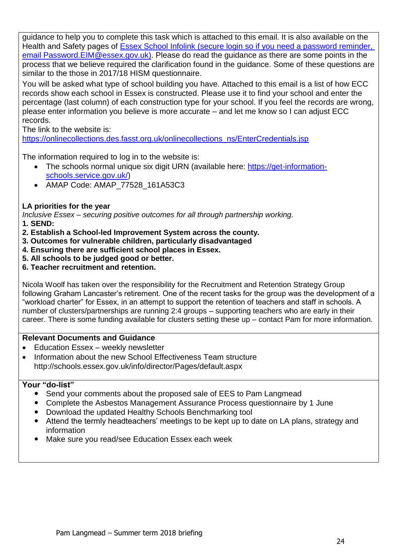guidance to help you to complete this task which is attached to this email. It is also available on the Health and Safety pages of [Essex School Infolink](https://schools-secure.essex.gov.uk/admin/hs/Secure/SF/Pages/Asbestos-Management-Assurance-Process-(AMAP)-2018.aspx) (secure login so if you need a password reminder, email [Password.EIM@essex.gov.uk\)](mailto:Password.EIM@essex.gov.uk). Please do read the guidance as there are some points in the process that we believe required the clarification found in the guidance. Some of these questions are similar to the those in 2017/18 HISM questionnaire.

You will be asked what type of school building you have. Attached to this email is a list of how ECC records show each school in Essex is constructed. Please use it to find your school and enter the percentage (last column) of each construction type for your school. If you feel the records are wrong, please enter information you believe is more accurate – and let me know so I can adjust ECC records.

The link to the website is:

[https://onlinecollections.des.fasst.org.uk/onlinecollections\\_ns/EnterCredentials.jsp](https://onlinecollections.des.fasst.org.uk/onlinecollections_ns/EnterCredentials.jsp)

The information required to log in to the website is:

- The schools normal unique six digit URN (available here: [https://get-information](https://get-information-schools.service.gov.uk/)[schools.service.gov.uk/\)](https://get-information-schools.service.gov.uk/)
- AMAP Code: AMAP\_77528 161A53C3

#### **LA priorities for the year**

*Inclusive Essex – securing positive outcomes for all through partnership working.* **1. SEND:**

- **2. Establish a School-led Improvement System across the county.**
- **3. Outcomes for vulnerable children, particularly disadvantaged**
- **4. Ensuring there are sufficient school places in Essex.**
- **5. All schools to be judged good or better.**
- **6. Teacher recruitment and retention.**

Nicola Woolf has taken over the responsibility for the Recruitment and Retention Strategy Group following Graham Lancaster's retirement. One of the recent tasks for the group was the development of a "workload charter" for Essex, in an attempt to support the retention of teachers and staff in schools. A number of clusters/partnerships are running 2:4 groups – supporting teachers who are early in their career. There is some funding available for clusters setting these up – contact Pam for more information.

#### **Relevant Documents and Guidance**

- Education Essex weekly newsletter
- Information about the new School Effectiveness Team structure http://schools.essex.gov.uk/info/director/Pages/default.aspx

- Send your comments about the proposed sale of EES to Pam Langmead
- Complete the Asbestos Management Assurance Process questionnaire by 1 June
- Download the updated Healthy Schools Benchmarking tool
- Attend the termly headteachers' meetings to be kept up to date on LA plans, strategy and information
- Make sure you read/see Education Essex each week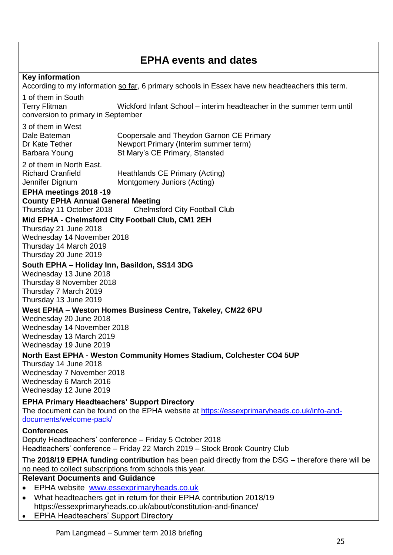# **EPHA events and dates**

#### **Key information**

According to my information so far, 6 primary schools in Essex have new headteachers this term. 1 of them in South

Terry Flitman Wickford Infant School – interim headteacher in the summer term until conversion to primary in September

| 3 of them in West                              |                                          |
|------------------------------------------------|------------------------------------------|
| Dale Bateman                                   | Coopersale and Theydon Garnon CE Primary |
| Dr Kate Tether                                 | Newport Primary (Interim summer term)    |
| Barbara Young                                  | St Mary's CE Primary, Stansted           |
| $\Omega$ of the second Microflex $\Gamma$ sets |                                          |

2 of them in North East. Richard Cranfield Heathlands CE Primary (Acting)

Jennifer Dignum Montgomery Juniors (Acting)

**EPHA meetings 2018 -19** 

#### **County EPHA Annual General Meeting**

Thursday 11 October 2018 Chelmsford City Football Club

#### **Mid EPHA - Chelmsford City Football Club, CM1 2EH**

Thursday 21 June 2018 Wednesday 14 November 2018 Thursday 14 March 2019 Thursday 20 June 2019

#### **South EPHA – Holiday Inn, Basildon, SS14 3DG**

Wednesday 13 June 2018 Thursday 8 November 2018 Thursday 7 March 2019 Thursday 13 June 2019

#### **West EPHA – Weston Homes Business Centre, Takeley, CM22 6PU**

Wednesday 20 June 2018 Wednesday 14 November 2018 Wednesday 13 March 2019 Wednesday 19 June 2019

#### **North East EPHA - Weston Community Homes Stadium, Colchester CO4 5UP**

Thursday 14 June 2018 Wednesday 7 November 2018 Wednesday 6 March 2016 Wednesday 12 June 2019

#### **EPHA Primary Headteachers' Support Directory**

The document can be found on the EPHA website at [https://essexprimaryheads.co.uk/info-and](https://essexprimaryheads.co.uk/info-and-documents/welcome-pack/)[documents/welcome-pack/](https://essexprimaryheads.co.uk/info-and-documents/welcome-pack/)

#### **Conferences**

Deputy Headteachers' conference – Friday 5 October 2018 Headteachers' conference – Friday 22 March 2019 – Stock Brook Country Club

The **2018/19 EPHA funding contribution** has been paid directly from the DSG – therefore there will be no need to collect subscriptions from schools this year.

#### **Relevant Documents and Guidance**

- EPHA website [www.essexprimaryheads.co.uk](http://www.essexprimaryheads.co.uk/)
- What headteachers get in return for their EPHA contribution 2018/19 https://essexprimaryheads.co.uk/about/constitution-and-finance/
- EPHA Headteachers' Support Directory